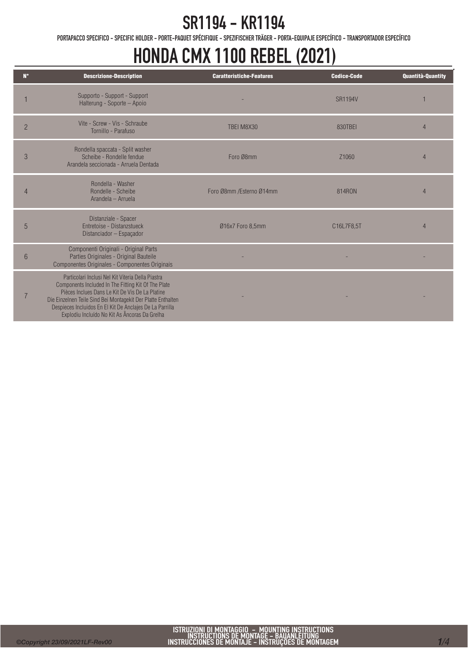PORTAPACCO SPECIFICO - SPECIFIC HOLDER - PORTE-PAQUET SPÉCIFIQUE - SPEZIFISCHER TRÄGER - PORTA-EQUIPAJE ESPECÍFICO - TRANSPORTADOR ESPECÍFICO

#### HONDA CMX 1100 REBEL (2021)

| $N^{\circ}$    | <b>Descrizione-Description</b>                                                                                                                                                                                                                                                                                                           | <b>Caratteristiche-Features</b> | <b>Codice-Code</b> | <b>Quantità-Quantity</b> |
|----------------|------------------------------------------------------------------------------------------------------------------------------------------------------------------------------------------------------------------------------------------------------------------------------------------------------------------------------------------|---------------------------------|--------------------|--------------------------|
|                | Supporto - Support - Support<br>Halterung - Soporte - Apoio                                                                                                                                                                                                                                                                              |                                 | <b>SR1194V</b>     |                          |
| $\overline{2}$ | Vite - Screw - Vis - Schraube<br>Tornillo - Parafuso                                                                                                                                                                                                                                                                                     | TBEI M8X30                      | 830TBFI            | $\overline{4}$           |
| 3              | Rondella spaccata - Split washer<br>Scheibe - Rondelle fendue<br>Arandela seccionada - Arruela Dentada                                                                                                                                                                                                                                   | Foro Ø8mm                       | Z1060              | $\overline{4}$           |
| $\Delta$       | Rondella - Washer<br>Rondelle - Scheibe<br>Arandela - Arruela                                                                                                                                                                                                                                                                            | Foro Ø8mm /Esterno Ø14mm        | 814RON             | $\overline{4}$           |
| 5              | Distanziale - Spacer<br><b>Fntretoise - Distanzstueck</b><br>Distanciador - Espaçador                                                                                                                                                                                                                                                    | Ø16x7 Foro 8,5mm                | C16L7F8,5T         | $\overline{4}$           |
| 6              | Componenti Originali - Original Parts<br>Parties Originales - Original Bauteile<br>Componentes Originales - Componentes Originais                                                                                                                                                                                                        |                                 |                    |                          |
|                | Particolari Inclusi Nel Kit Viteria Della Piastra<br>Components Included In The Fitting Kit Of The Plate<br>Pièces Inclues Dans Le Kit De Vis De La Platine<br>Die Einzelnen Teile Sind Bei Montagekit Der Platte Enthalten<br>Despieces Incluidos En El Kit De Anclajes De La Parrilla<br>Explodiu Incluído No Kit As Âncoras Da Grelha |                                 |                    |                          |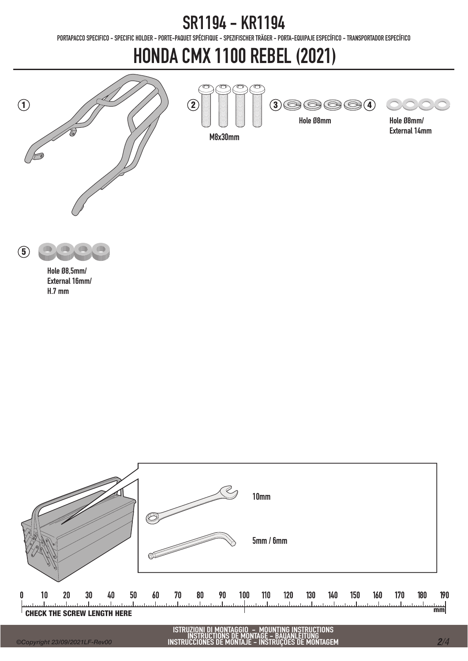PORTAPACCO SPECIFICO - SPECIFIC HOLDER - PORTE-PAQUET SPÉCIFIQUE - SPEZIFISCHER TRÄGER - PORTA-EQUIPAJE ESPECÍFICO - TRANSPORTADOR ESPECÍFICO

### HONDA CMX 1100 REBEL (2021)

M8x30mm





Hole Ø8mm/ External 14mm



Hole Ø8,5mm/ External 16mm/ H.7 mm



ISTRUZIONI DI MONTAGGIO – MOUNTING INSTRUCTIONS<br>INSTRUCTIONS DE MONTAGE – BAUANLEITUNG<br>INSTRUCCIONES DE MONTAJE – INSTRUÇÕES DE MONTAGEM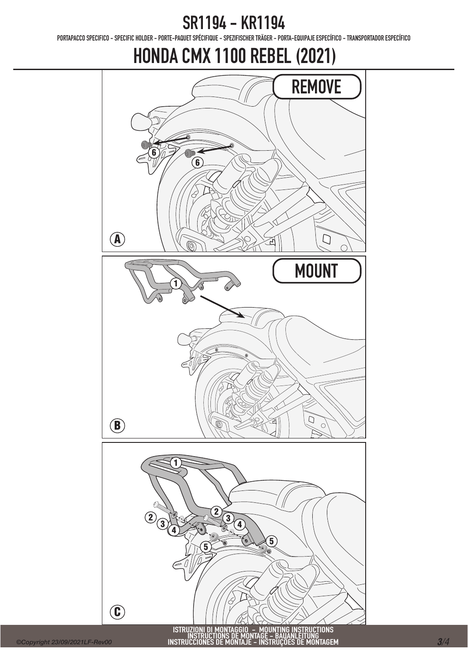PORTAPACCO SPECIFICO - SPECIFIC HOLDER - PORTE-PAQUET SPÉCIFIQUE - SPEZIFISCHER TRÄGER - PORTA-EQUIPAJE ESPECÍFICO - TRANSPORTADOR ESPECÍFICO

#### HONDA CMX 1100 REBEL (2021)